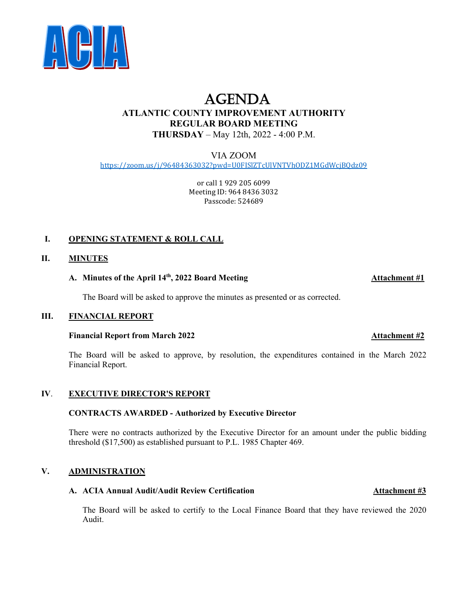

# AGENDA **ATLANTIC COUNTY IMPROVEMENT AUTHORITY REGULAR BOARD MEETING THURSDAY** – May 12th, 2022 - 4:00 P.M.

VIA ZOOM <https://zoom.us/j/96484363032?pwd=U0FISlZTcUlVNTVhODZ1MGdWcjBQdz09>

> or call 1 929 205 6099 Meeting ID: 964 8436 3032 Passcode: 524689

# **I. OPENING STATEMENT & ROLL CALL**

# **II. MINUTES**

# **A. Minutes of the April 14th, 2022 Board Meeting Attachment #1**

The Board will be asked to approve the minutes as presented or as corrected.

### **III. FINANCIAL REPORT**

### **Financial Report from March 2022 Attachment #2**

The Board will be asked to approve, by resolution, the expenditures contained in the March 2022 Financial Report.

# **IV**. **EXECUTIVE DIRECTOR'S REPORT**

### **CONTRACTS AWARDED - Authorized by Executive Director**

There were no contracts authorized by the Executive Director for an amount under the public bidding threshold (\$17,500) as established pursuant to P.L. 1985 Chapter 469.

### **V. ADMINISTRATION**

### **A. ACIA Annual Audit/Audit Review Certification Attachment #3**

The Board will be asked to certify to the Local Finance Board that they have reviewed the 2020 Audit.